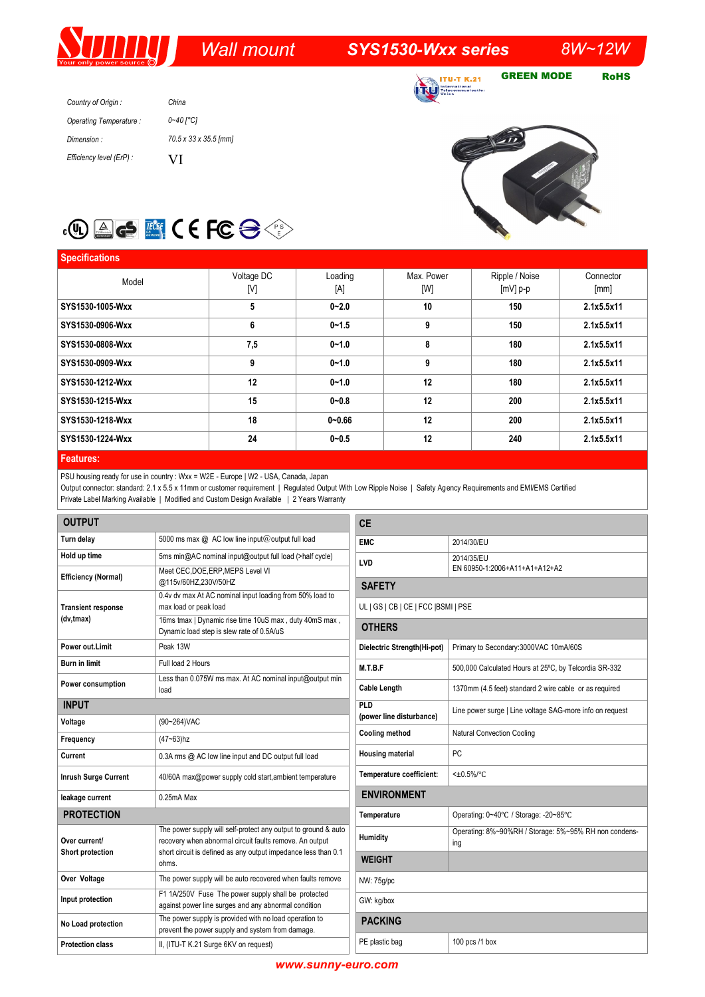# *Wall mount SYS1530-Wxx series 8W~12W*

**ITU-T K.21** ational<br>>mmunicatio

GREEN MODE RoHS

| Country of Origin:       | China                 |
|--------------------------|-----------------------|
| Operating Temperature:   | 0~40 [°C]             |
| Dimension:               | 70.5 x 33 x 35.5 [mm] |
| Efficiency level (ErP) : | VI                    |





#### **Specifications** Model Voltage DC [V] Loading [A] Max. Power [W] Ripple / Noise [mV] p-p Connector [mm] **SYS1530-1005-Wxx 5 0~2.0 10 150 2.1x5.5x11 SYS1530-0906-Wxx 6 0~1.5 9 150 2.1x5.5x11 SYS1530-0808-Wxx 7,5 0~1.0 8 180 2.1x5.5x11 SYS1530-0909-Wxx 9 0~1.0 9 180 2.1x5.5x11 SYS1530-1212-Wxx 12 0~1.0 12 180 2.1x5.5x11 SYS1530-1215-Wxx 15 0~0.8 12 200 2.1x5.5x11 SYS1530-1218-Wxx 18 0~0.66 12 200 2.1x5.5x11 SYS1530-1224-Wxx 24 0~0.5 12 240 2.1x5.5x11**

#### **Features:**

PSU housing ready for use in country : Wxx = W2E - Europe | W2 - USA, Canada, Japan

Output connector: standard: 2.1 x 5.5 x 11mm or customer requirement | Regulated Output With Low Ripple Noise | Safety Agency Requirements and EMI/EMS Certified Private Label Marking Available | Modified and Custom Design Available | 2 Years Warranty

| <b>OUTPUT</b>                          |                                                                                                                           | <b>CE</b>                            |                                                          |  |
|----------------------------------------|---------------------------------------------------------------------------------------------------------------------------|--------------------------------------|----------------------------------------------------------|--|
| Turn delay                             | 5000 ms max @ AC low line input@output full load                                                                          | <b>EMC</b>                           | 2014/30/EU                                               |  |
| Hold up time                           | 5ms min@AC nominal input@output full load (>half cycle)                                                                   | LVD                                  | 2014/35/EU                                               |  |
| <b>Efficiency (Normal)</b>             | Meet CEC, DOE, ERP, MEPS Level VI                                                                                         | EN 60950-1:2006+A11+A1+A12+A2        |                                                          |  |
|                                        | @115v/60HZ,230V/50HZ<br>0.4v dv max At AC nominal input loading from 50% load to                                          | <b>SAFETY</b>                        |                                                          |  |
| <b>Transient response</b><br>(dv,tmax) | max load or peak load                                                                                                     | UL   GS   CB   CE   FCC   BSMI   PSE |                                                          |  |
|                                        | 16ms tmax   Dynamic rise time 10uS max, duty 40mS max,                                                                    |                                      |                                                          |  |
|                                        | Dynamic load step is slew rate of 0.5A/uS                                                                                 | <b>OTHERS</b>                        |                                                          |  |
| Power out.Limit                        | Peak 13W                                                                                                                  | Dielectric Strength(Hi-pot)          | Primary to Secondary: 3000VAC 10mA/60S                   |  |
| Burn in limit                          | Full load 2 Hours                                                                                                         | M.T.B.F                              | 500,000 Calculated Hours at 25°C, by Telcordia SR-332    |  |
| Power consumption                      | Less than 0.075W ms max. At AC nominal input@output min<br>load                                                           | <b>Cable Length</b>                  | 1370mm (4.5 feet) standard 2 wire cable or as required   |  |
| <b>INPUT</b>                           |                                                                                                                           | PLD                                  | Line power surge   Line voltage SAG-more info on request |  |
| Voltage                                | (90~264) VAC                                                                                                              | (power line disturbance)             |                                                          |  |
| Frequency                              | $(47 - 63)$ hz                                                                                                            | <b>Cooling method</b>                | <b>Natural Convection Cooling</b>                        |  |
| Current                                | 0.3A rms @ AC low line input and DC output full load                                                                      | <b>Housing material</b>              | PC                                                       |  |
| <b>Inrush Surge Current</b>            | 40/60A max@power supply cold start, ambient temperature                                                                   | Temperature coefficient:             | $<\pm0.5\%$ <sup>o</sup> C                               |  |
| leakage current                        | $0.25mA$ Max                                                                                                              | <b>ENVIRONMENT</b>                   |                                                          |  |
| <b>PROTECTION</b>                      | Operating: 0~40°C / Storage: -20~85°C<br>Temperature                                                                      |                                      |                                                          |  |
| Over current/                          | The power supply will self-protect any output to ground & auto                                                            | Humidity                             | Operating: 8%~90%RH / Storage: 5%~95% RH non condens-    |  |
| Short protection                       | recovery when abnormal circuit faults remove. An output<br>short circuit is defined as any output impedance less than 0.1 |                                      | ing                                                      |  |
|                                        | ohms.                                                                                                                     | <b>WEIGHT</b>                        |                                                          |  |
| Over Voltage                           | The power supply will be auto recovered when faults remove                                                                | NW: 75g/pc                           |                                                          |  |
| Input protection                       | F1 1A/250V Fuse The power supply shall be protected<br>against power line surges and any abnormal condition               | GW: kg/box                           |                                                          |  |
| No Load protection                     | The power supply is provided with no load operation to<br>prevent the power supply and system from damage.                | <b>PACKING</b>                       |                                                          |  |
| <b>Protection class</b>                | II, (ITU-T K.21 Surge 6KV on request)                                                                                     | PE plastic bag                       | 100 pcs /1 box                                           |  |